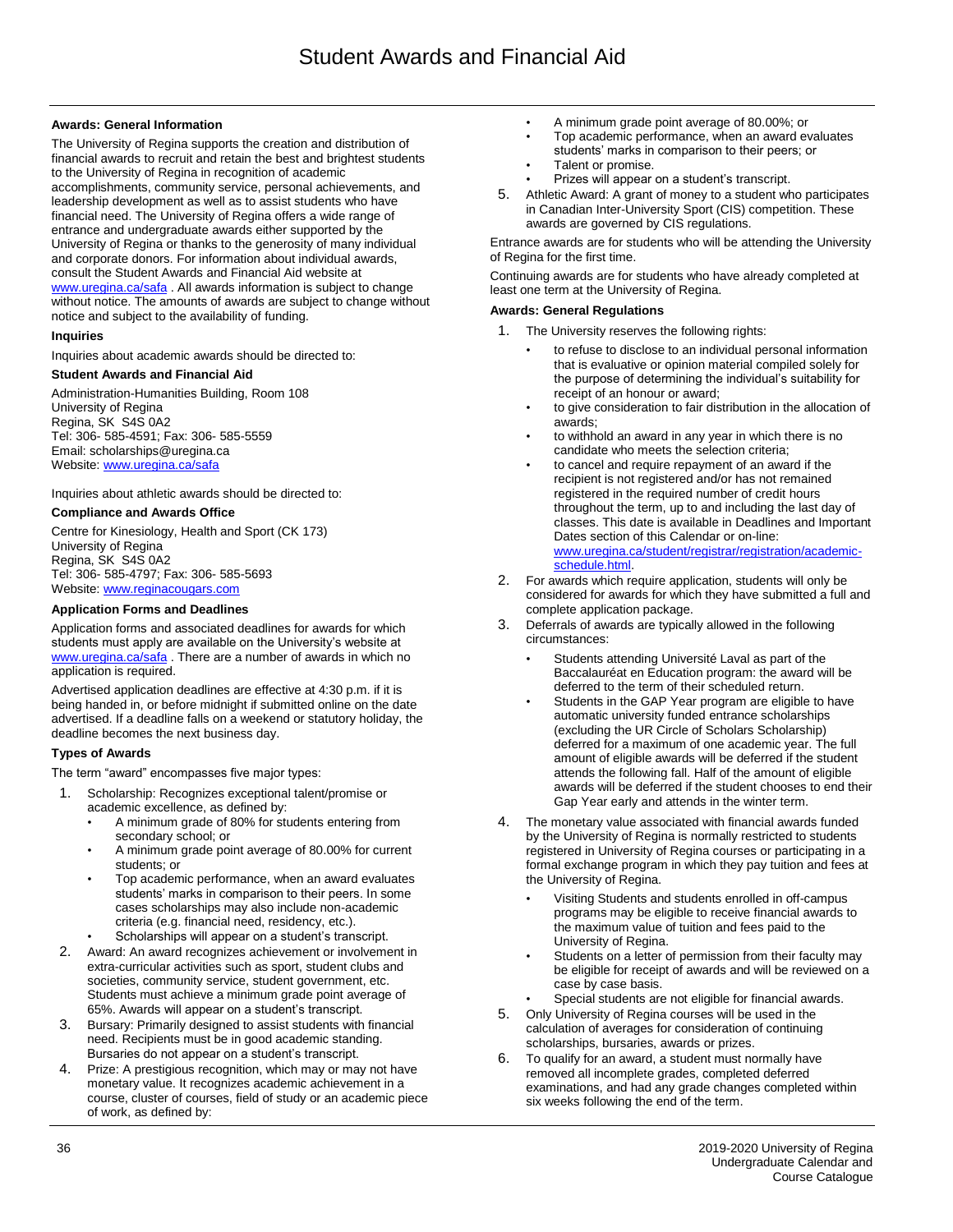## **Awards: General Information**

The University of Regina supports the creation and distribution of financial awards to recruit and retain the best and brightest students to the University of Regina in recognition of academic accomplishments, community service, personal achievements, and leadership development as well as to assist students who have financial need. The University of Regina offers a wide range of entrance and undergraduate awards either supported by the University of Regina or thanks to the generosity of many individual and corporate donors. For information about individual awards, consult the Student Awards and Financial Aid website at [www.uregina.ca/safa](http://www.uregina.ca/safa) . All awards information is subject to change without notice. The amounts of awards are subject to change without notice and subject to the availability of funding.

### **Inquiries**

Inquiries about academic awards should be directed to:

### **Student Awards and Financial Aid**

Administration-Humanities Building, Room 108 University of Regina Regina, SK S4S 0A2 Tel: 306- 585-4591; Fax: 306- 585-5559 Email: scholarships@uregina.ca Website[: www.uregina.ca/safa](http://www.uregina.ca/safa)

Inquiries about athletic awards should be directed to:

### **Compliance and Awards Office**

Centre for Kinesiology, Health and Sport (CK 173) University of Regina Regina, SK S4S 0A2 Tel: 306- 585-4797; Fax: 306- 585-5693 Website[: www.reginacougars.com](http://www.reginacougars.com/)

## **Application Forms and Deadlines**

Application forms and associated deadlines for awards for which students must apply are available on the University's website at [www.uregina.ca/safa](http://www.uregina.ca/safa) . There are a number of awards in which no application is required.

Advertised application deadlines are effective at 4:30 p.m. if it is being handed in, or before midnight if submitted online on the date advertised. If a deadline falls on a weekend or statutory holiday, the deadline becomes the next business day.

### **Types of Awards**

The term "award" encompasses five major types:

- 1. Scholarship: Recognizes exceptional talent/promise or academic excellence, as defined by:
	- A minimum grade of 80% for students entering from secondary school; or
	- A minimum grade point average of 80.00% for current students; or
	- Top academic performance, when an award evaluates students' marks in comparison to their peers. In some cases scholarships may also include non-academic criteria (e.g. financial need, residency, etc.).
	- Scholarships will appear on a student's transcript.
- 2. Award: An award recognizes achievement or involvement in extra-curricular activities such as sport, student clubs and societies, community service, student government, etc. Students must achieve a minimum grade point average of 65%. Awards will appear on a student's transcript.
- Bursary: Primarily designed to assist students with financial need. Recipients must be in good academic standing. Bursaries do not appear on a student's transcript.
- 4. Prize: A prestigious recognition, which may or may not have monetary value. It recognizes academic achievement in a course, cluster of courses, field of study or an academic piece of work, as defined by:
- A minimum grade point average of 80.00%; or
- Top academic performance, when an award evaluates
- students' marks in comparison to their peers; or
- Talent or promise.
- Prizes will appear on a student's transcript.
- 5. Athletic Award: A grant of money to a student who participates in Canadian Inter-University Sport (CIS) competition. These awards are governed by CIS regulations.

Entrance awards are for students who will be attending the University of Regina for the first time.

Continuing awards are for students who have already completed at least one term at the University of Regina.

#### **Awards: General Regulations**

- 1. The University reserves the following rights:
	- to refuse to disclose to an individual personal information that is evaluative or opinion material compiled solely for the purpose of determining the individual's suitability for receipt of an honour or award;
	- to give consideration to fair distribution in the allocation of awards;
	- to withhold an award in any year in which there is no candidate who meets the selection criteria;
	- to cancel and require repayment of an award if the recipient is not registered and/or has not remained registered in the required number of credit hours throughout the term, up to and including the last day of classes. This date is available in Deadlines and Important Dates section of this Calendar or on-line: [www.uregina.ca/student/registrar/registration/academic](http://www.uregina.ca/student/registrar/registration/academic-schedule.html)[schedule.html.](http://www.uregina.ca/student/registrar/registration/academic-schedule.html)
- 2. For awards which require application, students will only be considered for awards for which they have submitted a full and complete application package.
- 3. Deferrals of awards are typically allowed in the following circumstances:
	- Students attending Université Laval as part of the Baccalauréat en Education program: the award will be deferred to the term of their scheduled return.
	- Students in the GAP Year program are eligible to have automatic university funded entrance scholarships (excluding the UR Circle of Scholars Scholarship) deferred for a maximum of one academic year. The full amount of eligible awards will be deferred if the student attends the following fall. Half of the amount of eligible awards will be deferred if the student chooses to end their Gap Year early and attends in the winter term.
- 4. The monetary value associated with financial awards funded by the University of Regina is normally restricted to students registered in University of Regina courses or participating in a formal exchange program in which they pay tuition and fees at the University of Regina.
	- Visiting Students and students enrolled in off-campus programs may be eligible to receive financial awards to the maximum value of tuition and fees paid to the University of Regina.
	- Students on a letter of permission from their faculty may be eligible for receipt of awards and will be reviewed on a case by case basis.
- Special students are not eligible for financial awards.
- 5. Only University of Regina courses will be used in the calculation of averages for consideration of continuing scholarships, bursaries, awards or prizes.
- 6. To qualify for an award, a student must normally have removed all incomplete grades, completed deferred examinations, and had any grade changes completed within six weeks following the end of the term.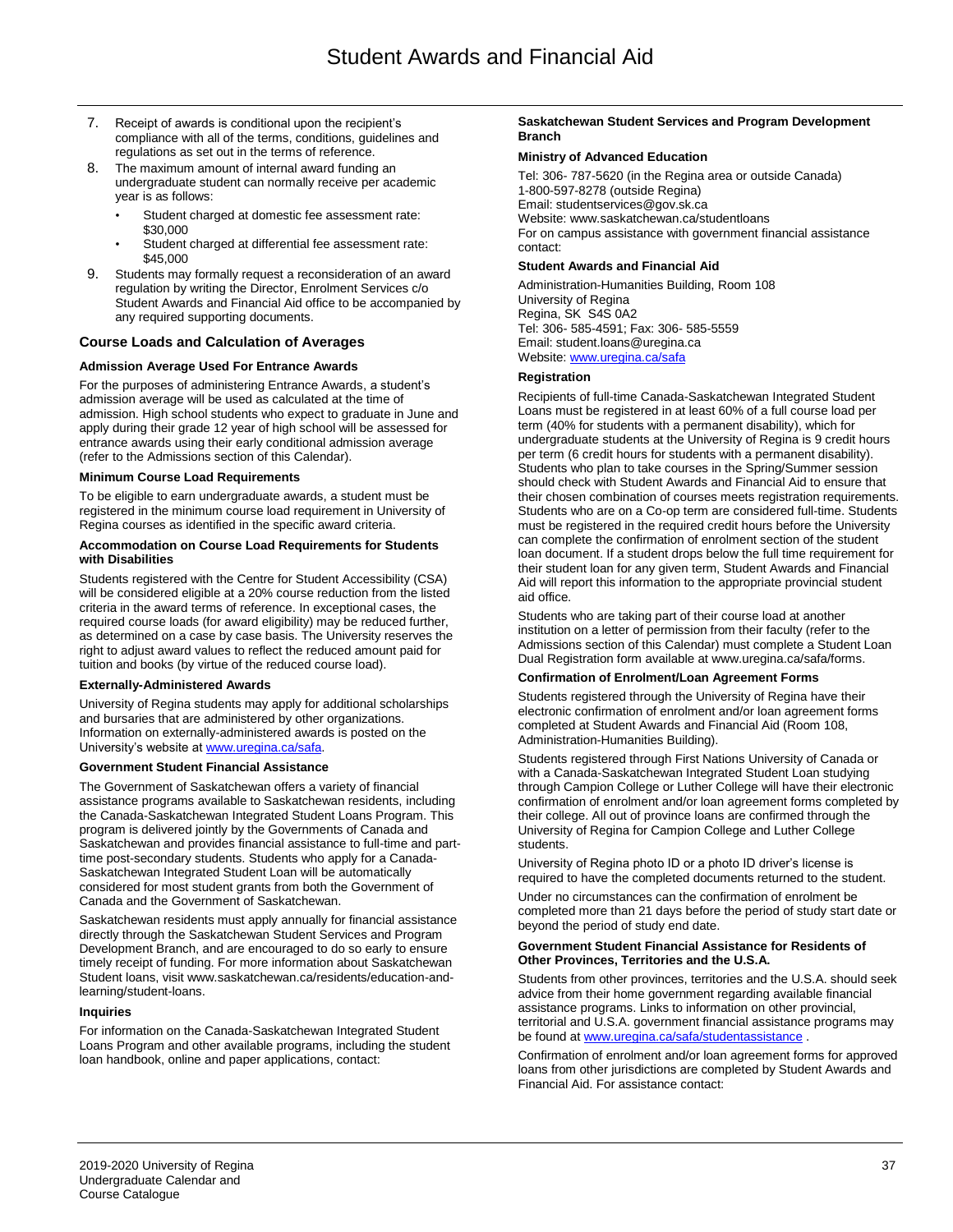- 7. Receipt of awards is conditional upon the recipient's compliance with all of the terms, conditions, guidelines and regulations as set out in the terms of reference.
- 8. The maximum amount of internal award funding an undergraduate student can normally receive per academic year is as follows:
	- Student charged at domestic fee assessment rate: \$30,000
	- Student charged at differential fee assessment rate: \$45,000
- Students may formally request a reconsideration of an award regulation by writing the Director, Enrolment Services c/o Student Awards and Financial Aid office to be accompanied by any required supporting documents.

# **Course Loads and Calculation of Averages**

## **Admission Average Used For Entrance Awards**

For the purposes of administering Entrance Awards, a student's admission average will be used as calculated at the time of admission. High school students who expect to graduate in June and apply during their grade 12 year of high school will be assessed for entrance awards using their early conditional admission average (refer to the Admissions section of this Calendar).

# **Minimum Course Load Requirements**

To be eligible to earn undergraduate awards, a student must be registered in the minimum course load requirement in University of Regina courses as identified in the specific award criteria.

### **Accommodation on Course Load Requirements for Students with Disabilities**

Students registered with the Centre for Student Accessibility (CSA) will be considered eligible at a 20% course reduction from the listed criteria in the award terms of reference. In exceptional cases, the required course loads (for award eligibility) may be reduced further, as determined on a case by case basis. The University reserves the right to adjust award values to reflect the reduced amount paid for tuition and books (by virtue of the reduced course load).

### **Externally-Administered Awards**

University of Regina students may apply for additional scholarships and bursaries that are administered by other organizations. Information on externally-administered awards is posted on the University's website a[t www.uregina.ca/safa.](http://www.uregina.ca/safa)

## **Government Student Financial Assistance**

The Government of Saskatchewan offers a variety of financial assistance programs available to Saskatchewan residents, including the Canada-Saskatchewan Integrated Student Loans Program. This program is delivered jointly by the Governments of Canada and Saskatchewan and provides financial assistance to full-time and parttime post-secondary students. Students who apply for a Canada-Saskatchewan Integrated Student Loan will be automatically considered for most student grants from both the Government of Canada and the Government of Saskatchewan.

Saskatchewan residents must apply annually for financial assistance directly through the Saskatchewan Student Services and Program Development Branch, and are encouraged to do so early to ensure timely receipt of funding. For more information about Saskatchewan Student loans, visit www.saskatchewan.ca/residents/education-andlearning/student-loans.

### **Inquiries**

For information on the Canada-Saskatchewan Integrated Student Loans Program and other available programs, including the student loan handbook, online and paper applications, contact:

#### **Saskatchewan Student Services and Program Development Branch**

### **Ministry of Advanced Education**

Tel: 306- 787-5620 (in the Regina area or outside Canada) 1-800-597-8278 (outside Regina) Email: studentservices@gov.sk.ca Website: www.saskatchewan.ca/studentloans For on campus assistance with government financial assistance contact:

## **Student Awards and Financial Aid**

Administration-Humanities Building, Room 108 University of Regina Regina, SK S4S 0A2 Tel: 306- 585-4591; Fax: 306- 585-5559 Email: student.loans@uregina.ca Website[: www.uregina.ca/safa](http://www.uregina.ca/safa)

### **Registration**

Recipients of full-time Canada-Saskatchewan Integrated Student Loans must be registered in at least 60% of a full course load per term (40% for students with a permanent disability), which for undergraduate students at the University of Regina is 9 credit hours per term (6 credit hours for students with a permanent disability). Students who plan to take courses in the Spring/Summer session should check with Student Awards and Financial Aid to ensure that their chosen combination of courses meets registration requirements. Students who are on a Co-op term are considered full-time. Students must be registered in the required credit hours before the University can complete the confirmation of enrolment section of the student loan document. If a student drops below the full time requirement for their student loan for any given term, Student Awards and Financial Aid will report this information to the appropriate provincial student aid office.

Students who are taking part of their course load at another institution on a letter of permission from their faculty (refer to the Admissions section of this Calendar) must complete a Student Loan Dual Registration form available at www.uregina.ca/safa/forms.

### **Confirmation of Enrolment/Loan Agreement Forms**

Students registered through the University of Regina have their electronic confirmation of enrolment and/or loan agreement forms completed at Student Awards and Financial Aid (Room 108, Administration-Humanities Building).

Students registered through First Nations University of Canada or with a Canada-Saskatchewan Integrated Student Loan studying through Campion College or Luther College will have their electronic confirmation of enrolment and/or loan agreement forms completed by their college. All out of province loans are confirmed through the University of Regina for Campion College and Luther College students.

University of Regina photo ID or a photo ID driver's license is required to have the completed documents returned to the student.

Under no circumstances can the confirmation of enrolment be completed more than 21 days before the period of study start date or beyond the period of study end date.

#### **Government Student Financial Assistance for Residents of Other Provinces, Territories and the U.S.A.**

Students from other provinces, territories and the U.S.A. should seek advice from their home government regarding available financial assistance programs. Links to information on other provincial, territorial and U.S.A. government financial assistance programs may be found a[t www.uregina.ca/safa/studentassistance](http://www.uregina.ca/safa/studentassistance) .

Confirmation of enrolment and/or loan agreement forms for approved loans from other jurisdictions are completed by Student Awards and Financial Aid. For assistance contact: